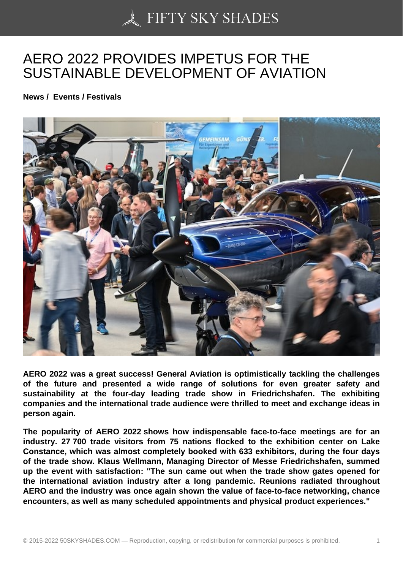## [AERO 2022 PROVIDE](https://50skyshades.com)S IMPETUS FOR THE SUSTAINABLE DEVELOPMENT OF AVIATION

News / Events / Festivals

AERO 2022 was a great success! General Aviation is optimistically tackling the challenges of the future and presented a wide range of solutions for even greater safety and sustainability at the four-day leading trade show in Friedrichshafen. The exhibiting companies and the international trade audience were thrilled to meet and exchange ideas in person again.

The popularity of AERO 2022 shows how indispensable face-to-face meetings are for an industry. 27 700 trade visitors from 75 nations flocked to the exhibition center on Lake Constance, which was almost completely booked with 633 exhibitors, during the four days of the trade show. Klaus Wellmann, Managing Director of Messe Friedrichshafen, summed up the event with satisfaction: "The sun came out when the trade show gates opened for the international aviation industry after a long pandemic. Reunions radiated throughout AERO and the industry was once again shown the value of face-to-face networking, chance encounters, as well as many scheduled appointments and physical product experiences."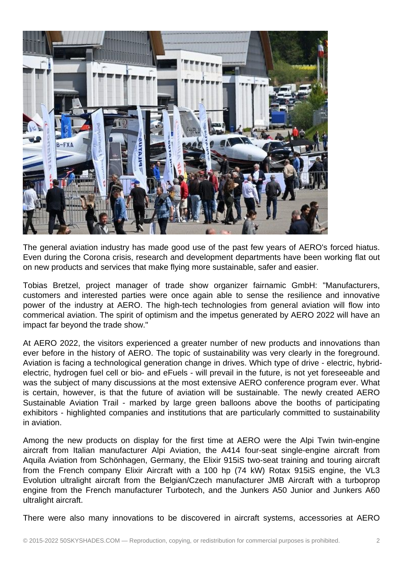

The general aviation industry has made good use of the past few years of AERO's forced hiatus. Even during the Corona crisis, research and development departments have been working flat out on new products and services that make flying more sustainable, safer and easier.

Tobias Bretzel, project manager of trade show organizer fairnamic GmbH: "Manufacturers, customers and interested parties were once again able to sense the resilience and innovative power of the industry at AERO. The high-tech technologies from general aviation will flow into commerical aviation. The spirit of optimism and the impetus generated by AERO 2022 will have an impact far beyond the trade show."

At AERO 2022, the visitors experienced a greater number of new products and innovations than ever before in the history of AERO. The topic of sustainability was very clearly in the foreground. Aviation is facing a technological generation change in drives. Which type of drive - electric, hybridelectric, hydrogen fuel cell or bio- and eFuels - will prevail in the future, is not yet foreseeable and was the subject of many discussions at the most extensive AERO conference program ever. What is certain, however, is that the future of aviation will be sustainable. The newly created AERO Sustainable Aviation Trail - marked by large green balloons above the booths of participating exhibitors - highlighted companies and institutions that are particularly committed to sustainability in aviation.

Among the new products on display for the first time at AERO were the Alpi Twin twin-engine aircraft from Italian manufacturer Alpi Aviation, the A414 four-seat single-engine aircraft from Aquila Aviation from Schönhagen, Germany, the Elixir 915iS two-seat training and touring aircraft from the French company Elixir Aircraft with a 100 hp (74 kW) Rotax 915iS engine, the VL3 Evolution ultralight aircraft from the Belgian/Czech manufacturer JMB Aircraft with a turboprop engine from the French manufacturer Turbotech, and the Junkers A50 Junior and Junkers A60 ultralight aircraft.

There were also many innovations to be discovered in aircraft systems, accessories at AERO